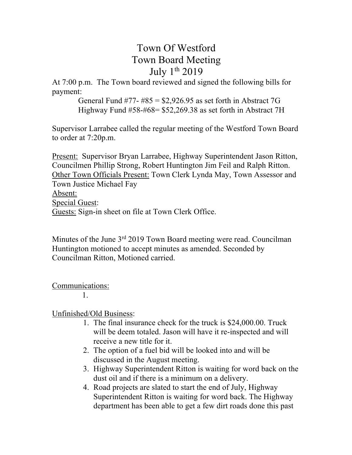# Town Of Westford Town Board Meeting July 1<sup>th</sup> 2019

At 7:00 p.m. The Town board reviewed and signed the following bills for payment:

> General Fund #77- #85 =  $$2,926.95$  as set forth in Abstract 7G Highway Fund #58-#68= \$52,269.38 as set forth in Abstract 7H

Supervisor Larrabee called the regular meeting of the Westford Town Board to order at 7:20p.m.

Present: Supervisor Bryan Larrabee, Highway Superintendent Jason Ritton, Councilmen Phillip Strong, Robert Huntington Jim Feil and Ralph Ritton. Other Town Officials Present: Town Clerk Lynda May, Town Assessor and Town Justice Michael Fay Absent: Special Guest: Guests: Sign-in sheet on file at Town Clerk Office.

Minutes of the June 3<sup>rd</sup> 2019 Town Board meeting were read. Councilman Huntington motioned to accept minutes as amended. Seconded by Councilman Ritton, Motioned carried.

### Communications:

1.

## Unfinished/Old Business:

- 1. The final insurance check for the truck is \$24,000.00. Truck will be deem totaled. Jason will have it re-inspected and will receive a new title for it.
- 2. The option of a fuel bid will be looked into and will be discussed in the August meeting.
- 3. Highway Superintendent Ritton is waiting for word back on the dust oil and if there is a minimum on a delivery.
- 4. Road projects are slated to start the end of July, Highway Superintendent Ritton is waiting for word back. The Highway department has been able to get a few dirt roads done this past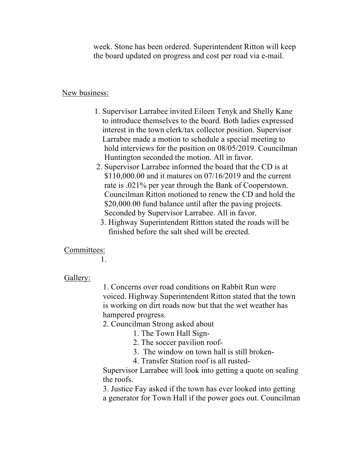week. Stone has been ordered. Superintendent Ritton will keep the board updated on progress and cost per road via e-mail.

#### New business:

- 1. Supervisor Larrabee invited Eileen Tenyk and Shelly Kane to introduce themselves to the board. Both ladies expressed interest in the town clerk/tax collector position. Supervisor Larrabee made a motion to schedule a special meeting to hold interviews for the position on 08/05/2019. Councilman Huntington seconded the motion. All in favor.
- 2. Supervisor Larrabee informed the board that the CD is at \$110,000.00 and it matures on 07/16/2019 and the current rate is .021% per year through the Bank of Cooperstown. Councilman Ritton motioned to renew the CD and hold the \$20,000.00 fund balance until after the paving projects. Seconded by Supervisor Larrabee. All in favor.
	- 3. Highway Superintendent Rittton stated the roads will be finished before the salt shed will be erected.

#### Committees:

1.

#### Gallery:

1. Concerns over road conditions on Rabbit Run were voiced. Highway Superintendent Ritton stated that the town is working on dirt roads now but that the wet weather has hampered progress.

#### 2. Councilman Strong asked about

- 1. The Town Hall Sign-
- 2. The soccer pavilion roof-
- 3. The window on town hall is still broken-
- 4. Transfer Station roof is all rusted-

Supervisor Larrabee will look into getting a quote on sealing the roofs.

3. Justice Fay asked if the town has ever looked into getting a generator for Town Hall if the power goes out. Councilman